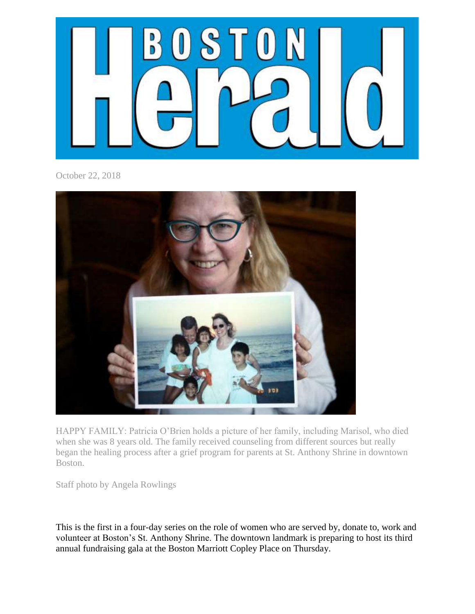

October 22, 2018



HAPPY FAMILY: Patricia O'Brien holds a picture of her family, including Marisol, who died when she was 8 years old. The family received counseling from different sources but really began the healing process after a grief program for parents at St. Anthony Shrine in downtown Boston.

Staff photo by Angela Rowlings

This is the first in a four-day series on the role of women who are served by, donate to, work and volunteer at Boston's St. Anthony Shrine. The downtown landmark is preparing to host its third annual fundraising gala at the Boston Marriott Copley Place on Thursday.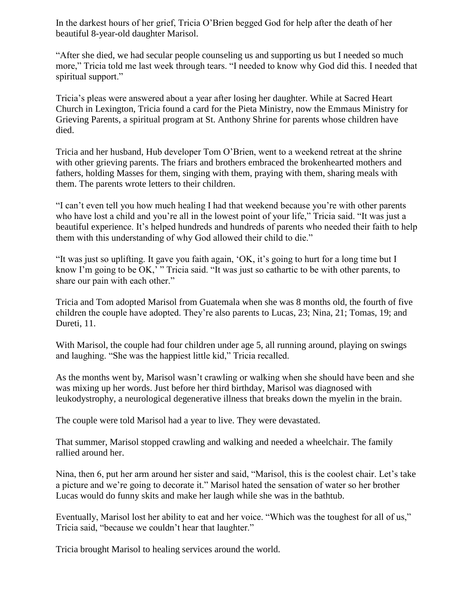In the darkest hours of her grief, Tricia O'Brien begged God for help after the death of her beautiful 8-year-old daughter Marisol.

"After she died, we had secular people counseling us and supporting us but I needed so much more," Tricia told me last week through tears. "I needed to know why God did this. I needed that spiritual support."

Tricia's pleas were answered about a year after losing her daughter. While at Sacred Heart Church in Lexington, Tricia found a card for the Pieta Ministry, now the Emmaus Ministry for Grieving Parents, a spiritual program at St. Anthony Shrine for parents whose children have died.

Tricia and her husband, Hub developer Tom O'Brien, went to a weekend retreat at the shrine with other grieving parents. The friars and brothers embraced the brokenhearted mothers and fathers, holding Masses for them, singing with them, praying with them, sharing meals with them. The parents wrote letters to their children.

"I can't even tell you how much healing I had that weekend because you're with other parents who have lost a child and you're all in the lowest point of your life," Tricia said. "It was just a beautiful experience. It's helped hundreds and hundreds of parents who needed their faith to help them with this understanding of why God allowed their child to die."

"It was just so uplifting. It gave you faith again, 'OK, it's going to hurt for a long time but I know I'm going to be OK,' " Tricia said. "It was just so cathartic to be with other parents, to share our pain with each other."

Tricia and Tom adopted Marisol from Guatemala when she was 8 months old, the fourth of five children the couple have adopted. They're also parents to Lucas, 23; Nina, 21; Tomas, 19; and Dureti, 11.

With Marisol, the couple had four children under age 5, all running around, playing on swings and laughing. "She was the happiest little kid," Tricia recalled.

As the months went by, Marisol wasn't crawling or walking when she should have been and she was mixing up her words. Just before her third birthday, Marisol was diagnosed with leukodystrophy, a neurological degenerative illness that breaks down the myelin in the brain.

The couple were told Marisol had a year to live. They were devastated.

That summer, Marisol stopped crawling and walking and needed a wheelchair. The family rallied around her.

Nina, then 6, put her arm around her sister and said, "Marisol, this is the coolest chair. Let's take a picture and we're going to decorate it." Marisol hated the sensation of water so her brother Lucas would do funny skits and make her laugh while she was in the bathtub.

Eventually, Marisol lost her ability to eat and her voice. "Which was the toughest for all of us," Tricia said, "because we couldn't hear that laughter."

Tricia brought Marisol to healing services around the world.